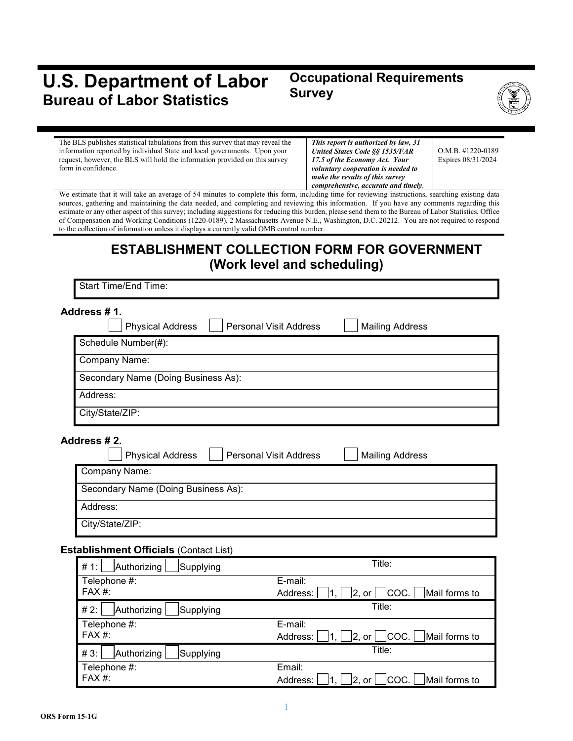# **U.S. Department of Labor Bureau of Labor Statistics**

# **Occupational Requirements Survey**



The BLS publishes statistical tabulations from this survey that may reveal the information reported by individual State and local governments. Upon your request, however, the BLS will hold the information provided on this survey form in confidence.

*This report is authorized by law, 31 United States Code §§ 1535/FAR 17.5 of the Economy Act. Your voluntary cooperation is needed to make the results of this survey comprehensive, accurate and timely.*

O.M.B. #1220-0189 Expires 08/31/2024

We estimate that it will take an average of 54 minutes to complete this form, including time for reviewing instructions, searching existing data sources, gathering and maintaining the data needed, and completing and reviewing this information. If you have any comments regarding this estimate or any other aspect of this survey; including suggestions for reducing this burden, please send them to the Bureau of Labor Statistics, Office of Compensation and Working Conditions (1220-0189), 2 Massachusetts Avenue N.E., Washington, D.C. 20212. You are not required to respond to the collection of information unless it displays a currently valid OMB control number.

# **ESTABLISHMENT COLLECTION FORM FOR GOVERNMENT (Work level and scheduling)**

Start Time/End Time:

| Address # 1.    | <b>Physical Address</b>             | <b>Personal Visit Address</b> | <b>Mailing Address</b> |
|-----------------|-------------------------------------|-------------------------------|------------------------|
|                 | Schedule Number(#):                 |                               |                        |
|                 | Company Name:                       |                               |                        |
|                 | Secondary Name (Doing Business As): |                               |                        |
| Address:        |                                     |                               |                        |
| City/State/ZIP: |                                     |                               |                        |

#### **Address # 2.**

| <b>Physical Address</b>             | <b>Personal Visit Address</b> | <b>Mailing Address</b> |
|-------------------------------------|-------------------------------|------------------------|
| Company Name:                       |                               |                        |
| Secondary Name (Doing Business As): |                               |                        |
| Address:                            |                               |                        |
| City/State/ZIP:                     |                               |                        |

#### **Establishment Officials** (Contact List)

| Authorizing<br># 1:<br>Supplying | Title:                                           |
|----------------------------------|--------------------------------------------------|
| Telephone #:                     | E-mail:                                          |
| FAX #:                           | COC.   Mail forms to<br>Address:<br> 2, or       |
| Authorizing<br>#2:<br>Supplying  | Title:                                           |
| Telephone #:                     | E-mail:                                          |
| FAX #:                           | COC.   Mail forms to<br>Address:<br> 2, or       |
| #3:<br>Authorizing<br>Supplying  | Title:                                           |
| Telephone #:                     | Email:                                           |
| FAX #:                           | COC.   Mail forms to<br>Address:<br>$ 2.$ or $ $ |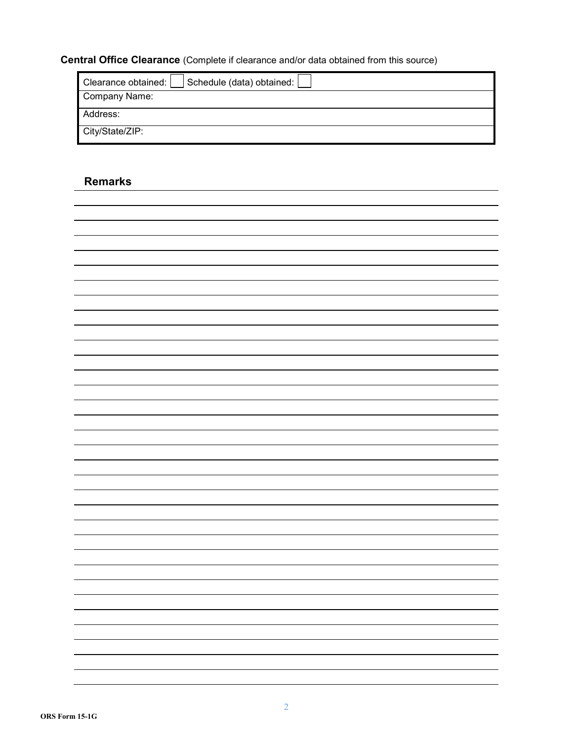# **Central Office Clearance** (Complete if clearance and/or data obtained from this source)

| Schedule (data) obtained:  <br>Clearance obtained: |
|----------------------------------------------------|
| Company Name:                                      |
| Address:                                           |
| City/State/ZIP:                                    |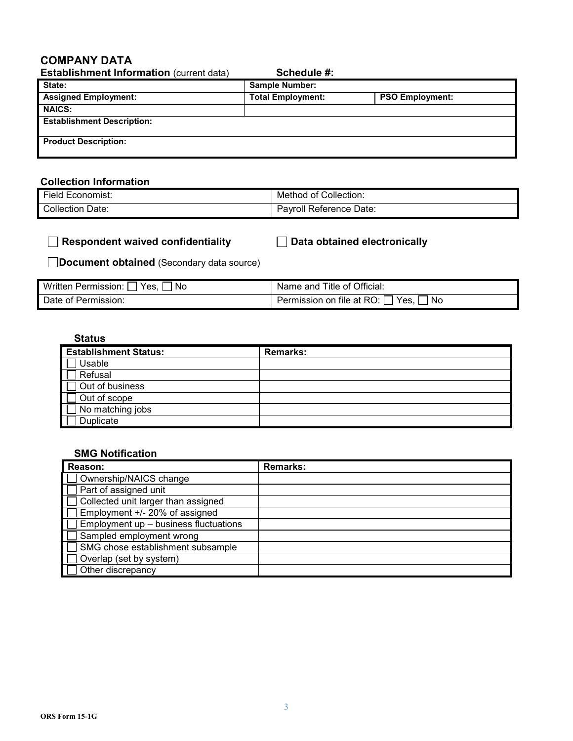## **COMPANY DATA**

| <b>Establishment Information (current data)</b> | Schedule #:              |                        |
|-------------------------------------------------|--------------------------|------------------------|
| State:                                          | <b>Sample Number:</b>    |                        |
| <b>Assigned Employment:</b>                     | <b>Total Employment:</b> | <b>PSO Employment:</b> |
| <b>NAICS:</b>                                   |                          |                        |
| <b>Establishment Description:</b>               |                          |                        |
| <b>Product Description:</b>                     |                          |                        |

## **Collection Information**

| $- \cdot$                    | Collection:                        |
|------------------------------|------------------------------------|
| Economist:                   | Method                             |
| <b>Field</b>                 | оt                                 |
| <b>Collection</b> Γ<br>Date: | ' Reference Date:<br>'avrol<br>oll |

| $\Box$ Respondent waived confidentiality | $\Box$ Data obtained electronically |
|------------------------------------------|-------------------------------------|
|------------------------------------------|-------------------------------------|

**Document obtained** (Secondary data source)

| Yes.<br>Written Permission:<br>' No | <sup>1</sup> Name and Title of Official:                |
|-------------------------------------|---------------------------------------------------------|
| Date of Permission:                 | <b>Permission on file at RO:</b> $\int$<br>' No<br>Yes. |

#### **Status**

| <b>Establishment Status:</b> | <b>Remarks:</b> |
|------------------------------|-----------------|
| Usable                       |                 |
| Refusal                      |                 |
| Out of business              |                 |
| Out of scope                 |                 |
| $\exists$ No matching jobs   |                 |
| Duplicate                    |                 |

#### **SMG Notification**

| Reason:                               | <b>Remarks:</b> |
|---------------------------------------|-----------------|
| Ownership/NAICS change                |                 |
| Part of assigned unit                 |                 |
| Collected unit larger than assigned   |                 |
| Employment +/- 20% of assigned        |                 |
| Employment up - business fluctuations |                 |
| Sampled employment wrong              |                 |
| SMG chose establishment subsample     |                 |
| Overlap (set by system)               |                 |
| Other discrepancy                     |                 |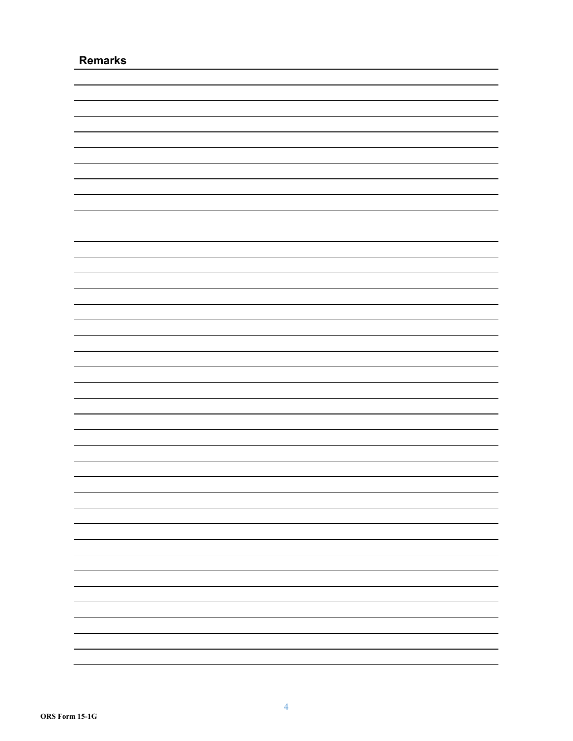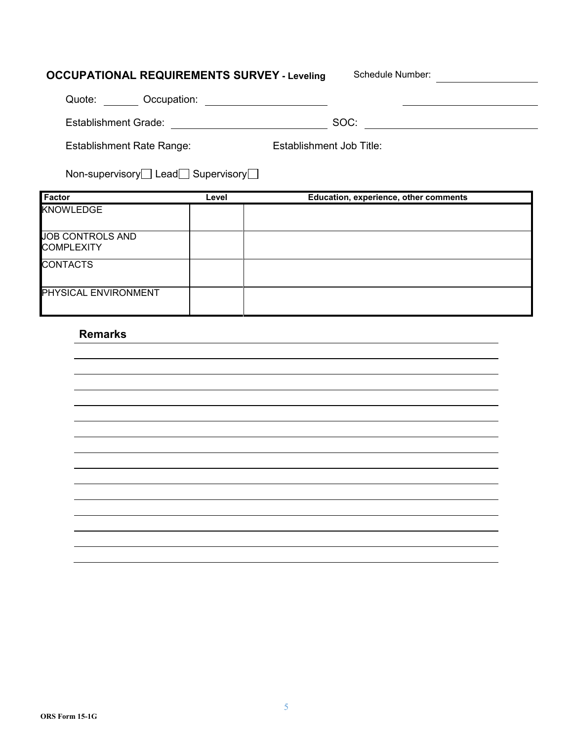# **OCCUPATIONAL REQUIREMENTS SURVEY - Leveling Schedule Number:**

| Occupation:<br>Quote:            |                          |
|----------------------------------|--------------------------|
| <b>Establishment Grade:</b>      | SOC:                     |
| <b>Establishment Rate Range:</b> | Establishment Job Title: |

|  | Non-supervisory□ Lead□ Supervisory□ |
|--|-------------------------------------|
|--|-------------------------------------|

| Factor                                | Level | Education, experience, other comments |
|---------------------------------------|-------|---------------------------------------|
| <b>KNOWLEDGE</b>                      |       |                                       |
| JOB CONTROLS AND<br><b>COMPLEXITY</b> |       |                                       |
| <b>CONTACTS</b>                       |       |                                       |
| <b>PHYSICAL ENVIRONMENT</b>           |       |                                       |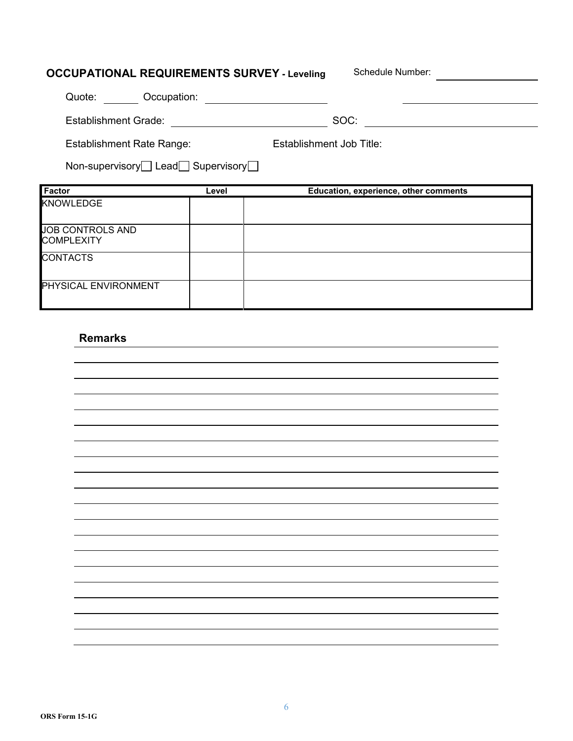| <b>OCCUPATIONAL REQUIREMENTS SURVEY - Leveling</b> |       | Schedule Number:                      |  |
|----------------------------------------------------|-------|---------------------------------------|--|
| Quote: Occupation:                                 |       |                                       |  |
| <b>Establishment Grade:</b>                        |       | SOC:                                  |  |
| <b>Establishment Rate Range:</b>                   |       | Establishment Job Title:              |  |
|                                                    |       |                                       |  |
| Non-supervisory□ Lead□ Supervisory□                |       |                                       |  |
| Factor                                             | Level | Education, experience, other comments |  |
| <b>KNOWLEDGE</b>                                   |       |                                       |  |
| <b>JOB CONTROLS AND</b><br><b>COMPLEXITY</b>       |       |                                       |  |

PHYSICAL ENVIRONMENT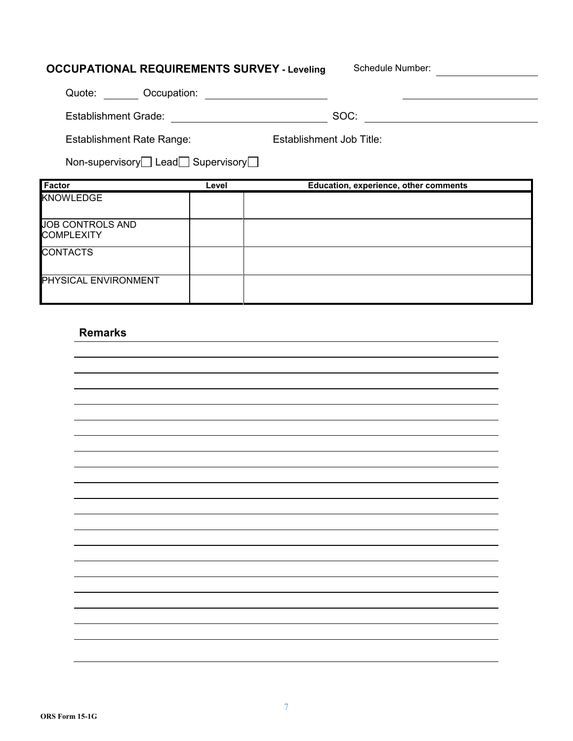| <b>OCCUPATIONAL REQUIREMENTS SURVEY - Leveling</b> |       | Schedule Number:                      |  |
|----------------------------------------------------|-------|---------------------------------------|--|
| Quote: Occupation:                                 |       |                                       |  |
| Establishment Grade:                               |       | SOC:                                  |  |
| <b>Establishment Rate Range:</b>                   |       | Establishment Job Title:              |  |
| Non-supervisory Lead Supervisory                   |       |                                       |  |
|                                                    |       |                                       |  |
| Factor                                             | Level | Education, experience, other comments |  |
| <b>KNOWLEDGE</b>                                   |       |                                       |  |
| <b>JOB CONTROLS AND</b><br><b>COMPLEXITY</b>       |       |                                       |  |
| <b>CONTACTS</b>                                    |       |                                       |  |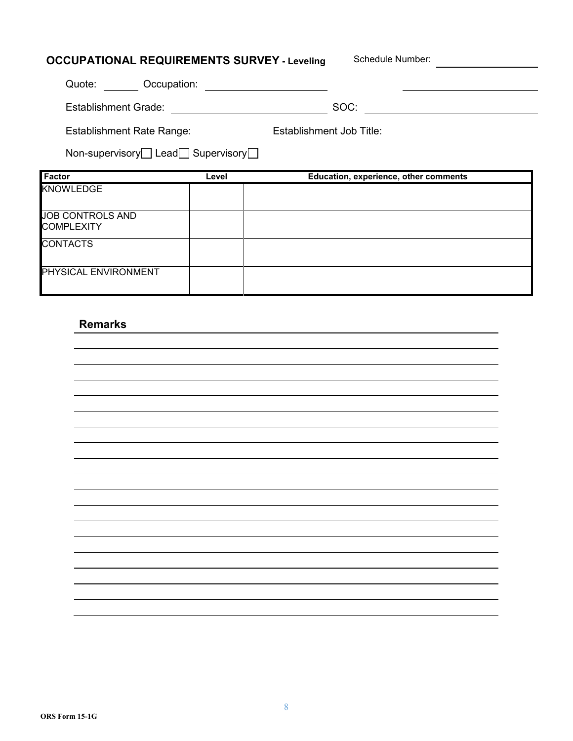| <b>OCCUPATIONAL REQUIREMENTS SURVEY - Leveling</b> |                                              | Schedule Number:                      |
|----------------------------------------------------|----------------------------------------------|---------------------------------------|
| Quote: Occupation:                                 |                                              |                                       |
| Establishment Grade:                               | <u> 1980 - Jan Jawa Barat, prima propins</u> | SOC:                                  |
| <b>Establishment Rate Range:</b>                   |                                              | Establishment Job Title:              |
| Non-supervisory Lead Supervisory                   |                                              |                                       |
|                                                    |                                              |                                       |
| Factor                                             | Level                                        | Education, experience, other comments |
| <b>KNOWLEDGE</b>                                   |                                              |                                       |
| JOB CONTROLS AND<br><b>COMPLEXITY</b>              |                                              |                                       |
| <b>CONTACTS</b>                                    |                                              |                                       |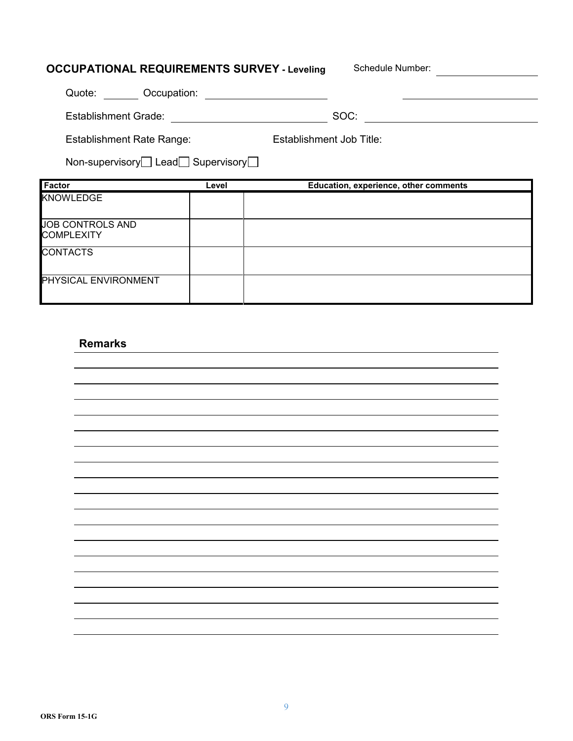| <b>OCCUPATIONAL REQUIREMENTS SURVEY - Leveling</b> |       | Schedule Number:                      |
|----------------------------------------------------|-------|---------------------------------------|
| Quote: Occupation:                                 |       |                                       |
| Establishment Grade:                               |       | SOC:                                  |
| <b>Establishment Rate Range:</b>                   |       | Establishment Job Title:              |
| Non-supervisory Lead Supervisory                   |       |                                       |
| Factor                                             | Level | Education, experience, other comments |
| <b>KNOWLEDGE</b>                                   |       |                                       |
| <b>JOB CONTROLS AND</b>                            |       |                                       |
| <b>COMPLEXITY</b>                                  |       |                                       |
| <b>CONTACTS</b>                                    |       |                                       |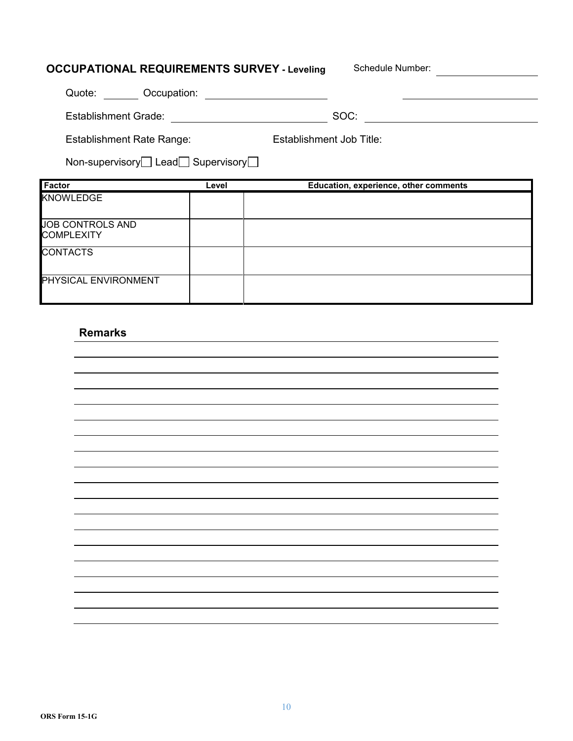| <b>OCCUPATIONAL REQUIREMENTS SURVEY - Leveling</b> |       | Schedule Number:                      |  |
|----------------------------------------------------|-------|---------------------------------------|--|
| Quote: Occupation:                                 |       |                                       |  |
| <b>Establishment Grade:</b>                        |       | SOC:                                  |  |
| <b>Establishment Rate Range:</b>                   |       | Establishment Job Title:              |  |
| Non-supervisory□ Lead□ Supervisory□                |       |                                       |  |
|                                                    |       |                                       |  |
| Factor                                             | Level | Education, experience, other comments |  |
| <b>KNOWLEDGE</b>                                   |       |                                       |  |
| <b>JOB CONTROLS AND</b><br><b>COMPLEXITY</b>       |       |                                       |  |
| <b>CONTACTS</b>                                    |       |                                       |  |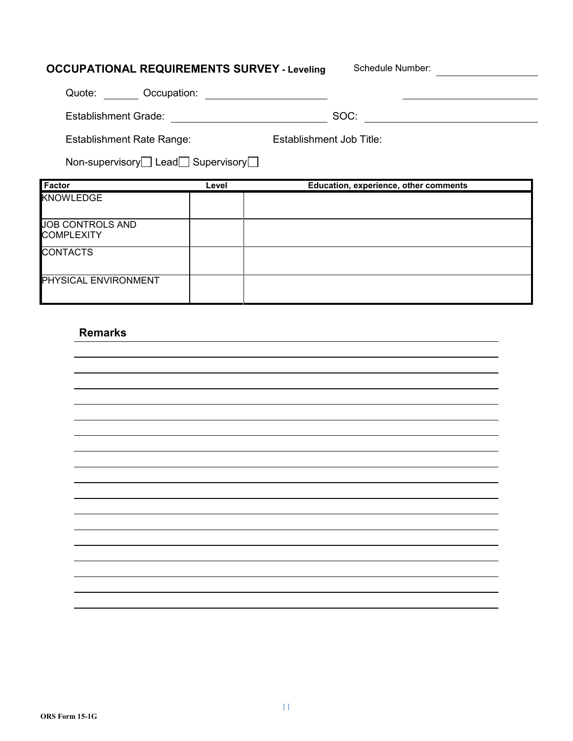| <b>OCCUPATIONAL REQUIREMENTS SURVEY - Leveling</b>    |       | Schedule Number:                      |
|-------------------------------------------------------|-------|---------------------------------------|
| Quote: Occupation:                                    |       |                                       |
| <b>Establishment Grade:</b>                           |       | SOC:                                  |
| <b>Establishment Rate Range:</b>                      |       | Establishment Job Title:              |
| Non-supervisory $\Box$ Lead $\Box$ Supervisory $\Box$ |       |                                       |
| <b>Factor</b>                                         |       |                                       |
|                                                       | Level | Education, experience, other comments |
| KNOWLEDGE                                             |       |                                       |
| <b>JOB CONTROLS AND</b><br><b>COMPLEXITY</b>          |       |                                       |
| <b>CONTACTS</b>                                       |       |                                       |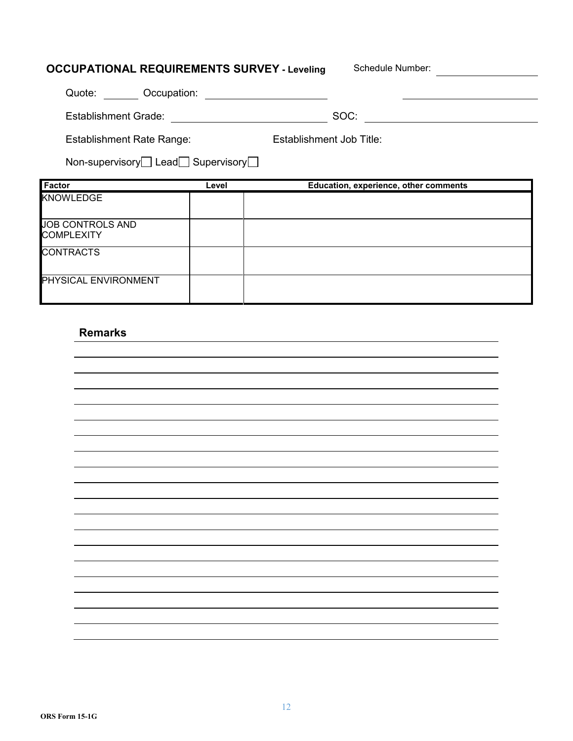| <b>OCCUPATIONAL REQUIREMENTS SURVEY - Leveling</b>    |       | Schedule Number:                      |  |
|-------------------------------------------------------|-------|---------------------------------------|--|
| Quote: Occupation:                                    |       |                                       |  |
| Establishment Grade:                                  |       | SOC:                                  |  |
| <b>Establishment Rate Range:</b>                      |       | Establishment Job Title:              |  |
| Non-supervisory $\Box$ Lead $\Box$ Supervisory $\Box$ |       |                                       |  |
|                                                       |       |                                       |  |
| Factor                                                | Level | Education, experience, other comments |  |
| <b>KNOWLEDGE</b>                                      |       |                                       |  |
| <b>JOB CONTROLS AND</b><br><b>COMPLEXITY</b>          |       |                                       |  |
| <b>CONTRACTS</b>                                      |       |                                       |  |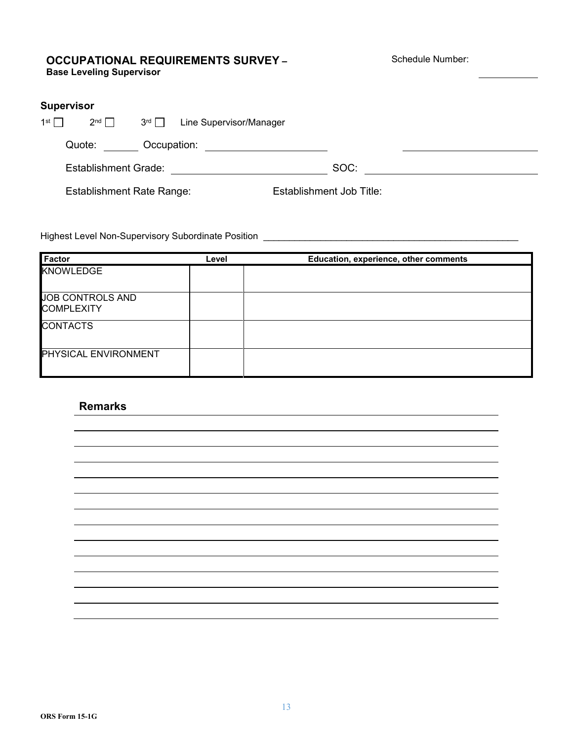#### **OCCUPATIONAL REQUIREMENTS SURVEY – Base Leveling Supervisor**

Schedule Number:

| <b>Supervisor</b> |                                  |               |                         |                          |  |
|-------------------|----------------------------------|---------------|-------------------------|--------------------------|--|
| 1 <sup>st</sup>   | $2^{nd}$                         | $3^{rd} \Box$ | Line Supervisor/Manager |                          |  |
|                   | Quote:                           | Occupation:   |                         |                          |  |
|                   | <b>Establishment Grade:</b>      |               |                         | SOC:                     |  |
|                   | <b>Establishment Rate Range:</b> |               |                         | Establishment Job Title: |  |

Highest Level Non-Supervisory Subordinate Position \_\_\_\_\_\_\_\_\_\_\_\_\_\_\_\_\_\_\_\_\_\_\_\_\_\_\_\_\_\_

| <b>Factor</b>                         | Level | Education, experience, other comments |
|---------------------------------------|-------|---------------------------------------|
| <b>KNOWLEDGE</b>                      |       |                                       |
| JOB CONTROLS AND<br><b>COMPLEXITY</b> |       |                                       |
| <b>CONTACTS</b>                       |       |                                       |
| PHYSICAL ENVIRONMENT                  |       |                                       |

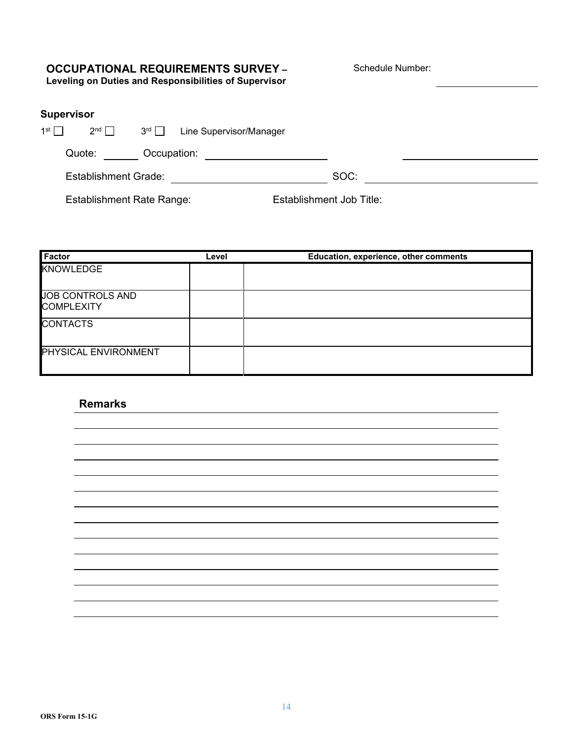# **OCCUPATIONAL REQUIREMENTS SURVEY –**

Schedule Number:

**Leveling on Duties and Responsibilities of Supervisor**

| Supervisor |  |  |  |  |
|------------|--|--|--|--|
|            |  |  |  |  |

| 1st $\Box$ | $2^{nd}$                    | 3 <sup>rd</sup> | Line Supervisor/Manager |      |  |
|------------|-----------------------------|-----------------|-------------------------|------|--|
|            | Quote:                      | Occupation:     |                         |      |  |
|            | <b>Establishment Grade:</b> |                 |                         | SOC: |  |

Establishment Rate Range: Establishment Job Title:

| <b>Factor</b>                         | Level | Education, experience, other comments |
|---------------------------------------|-------|---------------------------------------|
| <b>KNOWLEDGE</b>                      |       |                                       |
| JOB CONTROLS AND<br><b>COMPLEXITY</b> |       |                                       |
| <b>CONTACTS</b>                       |       |                                       |
| PHYSICAL ENVIRONMENT                  |       |                                       |

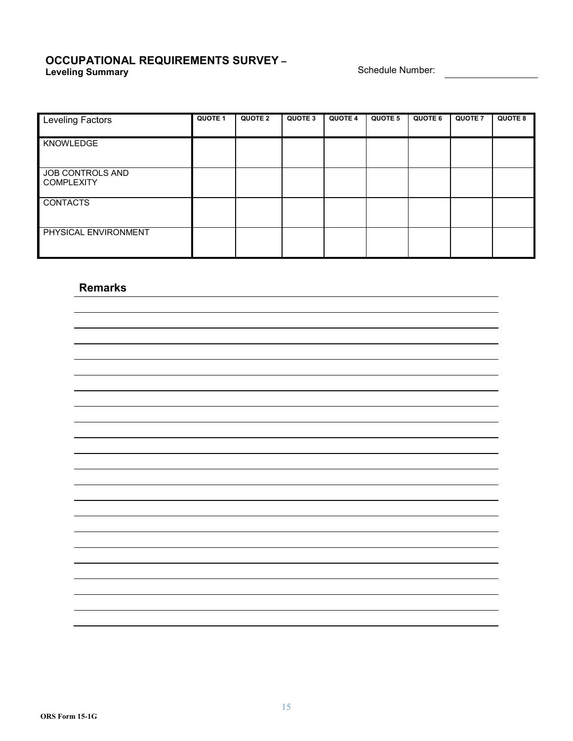#### **OCCUPATIONAL REQUIREMENTS SURVEY – Leveling Summary Schedule Number: Constant Constant Constant Constant Constant Constant Constant Constant Constant Constant Constant Constant Constant Constant Constant Constant Constant Constant Constant Constant Con**

| <b>Leveling Factors</b>               | QUOTE 1 | <b>QUOTE 2</b> | QUOTE 3 | <b>QUOTE 4</b> | QUOTE 5 | QUOTE 6 | <b>QUOTE 7</b> | <b>QUOTE 8</b> |
|---------------------------------------|---------|----------------|---------|----------------|---------|---------|----------------|----------------|
| KNOWLEDGE                             |         |                |         |                |         |         |                |                |
| JOB CONTROLS AND<br><b>COMPLEXITY</b> |         |                |         |                |         |         |                |                |
| <b>CONTACTS</b>                       |         |                |         |                |         |         |                |                |
| PHYSICAL ENVIRONMENT                  |         |                |         |                |         |         |                |                |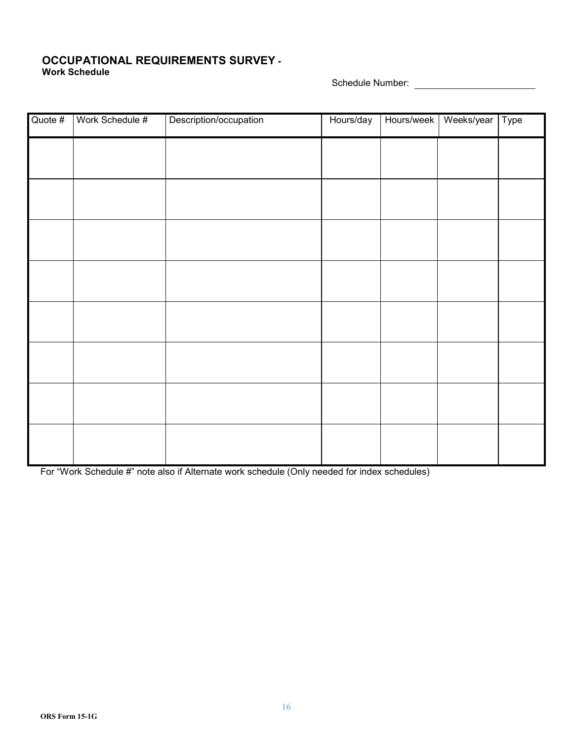#### **OCCUPATIONAL REQUIREMENTS SURVEY - Work Schedule**

Schedule Number:

| Quote # | Work Schedule # | Description/occupation | Hours/day | Hours/week | Weeks/year | Type |
|---------|-----------------|------------------------|-----------|------------|------------|------|
|         |                 |                        |           |            |            |      |
|         |                 |                        |           |            |            |      |
|         |                 |                        |           |            |            |      |
|         |                 |                        |           |            |            |      |
|         |                 |                        |           |            |            |      |
|         |                 |                        |           |            |            |      |
|         |                 |                        |           |            |            |      |
|         |                 |                        |           |            |            |      |
|         |                 |                        |           |            |            |      |

For "Work Schedule #" note also if Alternate work schedule (Only needed for index schedules)